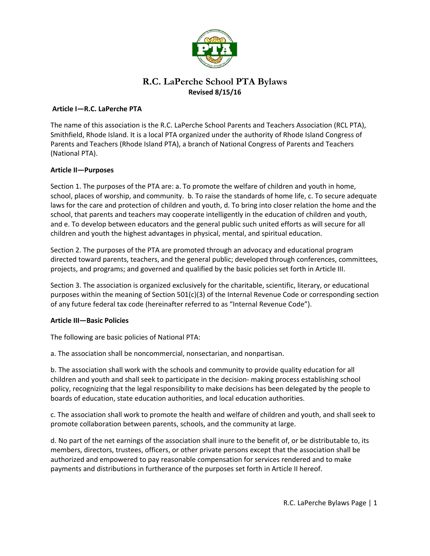

# **R.C. LaPerche School PTA Bylaws Revised 8/15/16**

### **Article I—R.C. LaPerche PTA**

The name of this association is the R.C. LaPerche School Parents and Teachers Association (RCL PTA), Smithfield, Rhode Island. It is a local PTA organized under the authority of Rhode Island Congress of Parents and Teachers (Rhode Island PTA), a branch of National Congress of Parents and Teachers (National PTA).

### **Article II—Purposes**

Section 1. The purposes of the PTA are: a. To promote the welfare of children and youth in home, school, places of worship, and community. b. To raise the standards of home life, c. To secure adequate laws for the care and protection of children and youth, d. To bring into closer relation the home and the school, that parents and teachers may cooperate intelligently in the education of children and youth, and e. To develop between educators and the general public such united efforts as will secure for all children and youth the highest advantages in physical, mental, and spiritual education.

Section 2. The purposes of the PTA are promoted through an advocacy and educational program directed toward parents, teachers, and the general public; developed through conferences, committees, projects, and programs; and governed and qualified by the basic policies set forth in Article III.

Section 3. The association is organized exclusively for the charitable, scientific, literary, or educational purposes within the meaning of Section 501(c)(3) of the Internal Revenue Code or corresponding section of any future federal tax code (hereinafter referred to as "Internal Revenue Code").

### **Article III—Basic Policies**

The following are basic policies of National PTA:

a. The association shall be noncommercial, nonsectarian, and nonpartisan.

b. The association shall work with the schools and community to provide quality education for all children and youth and shall seek to participate in the decision- making process establishing school policy, recognizing that the legal responsibility to make decisions has been delegated by the people to boards of education, state education authorities, and local education authorities.

c. The association shall work to promote the health and welfare of children and youth, and shall seek to promote collaboration between parents, schools, and the community at large.

d. No part of the net earnings of the association shall inure to the benefit of, or be distributable to, its members, directors, trustees, officers, or other private persons except that the association shall be authorized and empowered to pay reasonable compensation for services rendered and to make payments and distributions in furtherance of the purposes set forth in Article II hereof.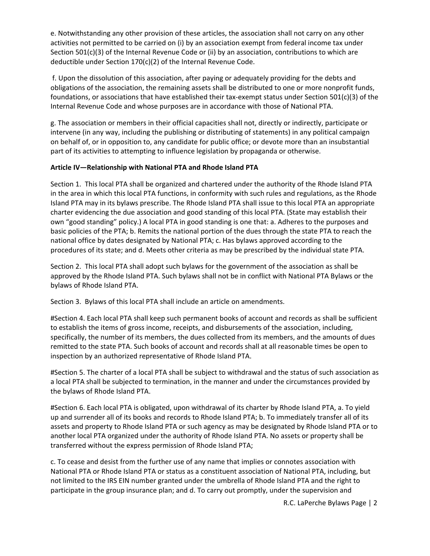e. Notwithstanding any other provision of these articles, the association shall not carry on any other activities not permitted to be carried on (i) by an association exempt from federal income tax under Section 501(c)(3) of the Internal Revenue Code or (ii) by an association, contributions to which are deductible under Section 170(c)(2) of the Internal Revenue Code.

 f. Upon the dissolution of this association, after paying or adequately providing for the debts and obligations of the association, the remaining assets shall be distributed to one or more nonprofit funds, foundations, or associations that have established their tax-exempt status under Section 501(c)(3) of the Internal Revenue Code and whose purposes are in accordance with those of National PTA.

g. The association or members in their official capacities shall not, directly or indirectly, participate or intervene (in any way, including the publishing or distributing of statements) in any political campaign on behalf of, or in opposition to, any candidate for public office; or devote more than an insubstantial part of its activities to attempting to influence legislation by propaganda or otherwise.

### **Article IV—Relationship with National PTA and Rhode Island PTA**

Section 1. This local PTA shall be organized and chartered under the authority of the Rhode Island PTA in the area in which this local PTA functions, in conformity with such rules and regulations, as the Rhode Island PTA may in its bylaws prescribe. The Rhode Island PTA shall issue to this local PTA an appropriate charter evidencing the due association and good standing of this local PTA. (State may establish their own "good standing" policy.) A local PTA in good standing is one that: a. Adheres to the purposes and basic policies of the PTA; b. Remits the national portion of the dues through the state PTA to reach the national office by dates designated by National PTA; c. Has bylaws approved according to the procedures of its state; and d. Meets other criteria as may be prescribed by the individual state PTA.

Section 2. This local PTA shall adopt such bylaws for the government of the association as shall be approved by the Rhode Island PTA. Such bylaws shall not be in conflict with National PTA Bylaws or the bylaws of Rhode Island PTA.

Section 3. Bylaws of this local PTA shall include an article on amendments.

#Section 4. Each local PTA shall keep such permanent books of account and records as shall be sufficient to establish the items of gross income, receipts, and disbursements of the association, including, specifically, the number of its members, the dues collected from its members, and the amounts of dues remitted to the state PTA. Such books of account and records shall at all reasonable times be open to inspection by an authorized representative of Rhode Island PTA.

#Section 5. The charter of a local PTA shall be subject to withdrawal and the status of such association as a local PTA shall be subjected to termination, in the manner and under the circumstances provided by the bylaws of Rhode Island PTA.

#Section 6. Each local PTA is obligated, upon withdrawal of its charter by Rhode Island PTA, a. To yield up and surrender all of its books and records to Rhode Island PTA; b. To immediately transfer all of its assets and property to Rhode Island PTA or such agency as may be designated by Rhode Island PTA or to another local PTA organized under the authority of Rhode Island PTA. No assets or property shall be transferred without the express permission of Rhode Island PTA;

c. To cease and desist from the further use of any name that implies or connotes association with National PTA or Rhode Island PTA or status as a constituent association of National PTA, including, but not limited to the IRS EIN number granted under the umbrella of Rhode Island PTA and the right to participate in the group insurance plan; and d. To carry out promptly, under the supervision and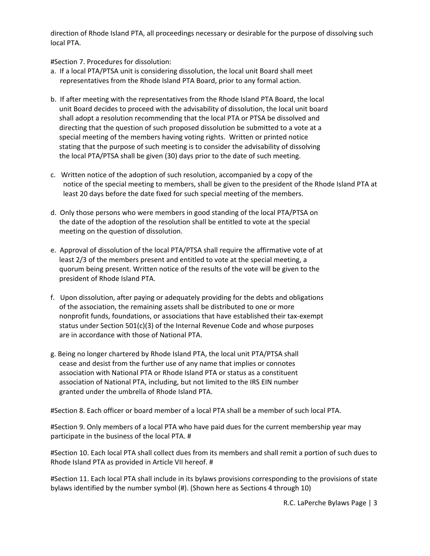direction of Rhode Island PTA, all proceedings necessary or desirable for the purpose of dissolving such local PTA.

#Section 7. Procedures for dissolution:

- a. If a local PTA/PTSA unit is considering dissolution, the local unit Board shall meet representatives from the Rhode Island PTA Board, prior to any formal action.
- b. If after meeting with the representatives from the Rhode Island PTA Board, the local unit Board decides to proceed with the advisability of dissolution, the local unit board shall adopt a resolution recommending that the local PTA or PTSA be dissolved and directing that the question of such proposed dissolution be submitted to a vote at a special meeting of the members having voting rights. Written or printed notice stating that the purpose of such meeting is to consider the advisability of dissolving the local PTA/PTSA shall be given (30) days prior to the date of such meeting.
- c. Written notice of the adoption of such resolution, accompanied by a copy of the notice of the special meeting to members, shall be given to the president of the Rhode Island PTA at least 20 days before the date fixed for such special meeting of the members.
- d. Only those persons who were members in good standing of the local PTA/PTSA on the date of the adoption of the resolution shall be entitled to vote at the special meeting on the question of dissolution.
- e. Approval of dissolution of the local PTA/PTSA shall require the affirmative vote of at least 2/3 of the members present and entitled to vote at the special meeting, a quorum being present. Written notice of the results of the vote will be given to the president of Rhode Island PTA.
- f. Upon dissolution, after paying or adequately providing for the debts and obligations of the association, the remaining assets shall be distributed to one or more nonprofit funds, foundations, or associations that have established their tax-exempt status under Section 501(c)(3) of the Internal Revenue Code and whose purposes are in accordance with those of National PTA.
- g. Being no longer chartered by Rhode Island PTA, the local unit PTA/PTSA shall cease and desist from the further use of any name that implies or connotes association with National PTA or Rhode Island PTA or status as a constituent association of National PTA, including, but not limited to the IRS EIN number granted under the umbrella of Rhode Island PTA.

#Section 8. Each officer or board member of a local PTA shall be a member of such local PTA.

#Section 9. Only members of a local PTA who have paid dues for the current membership year may participate in the business of the local PTA. #

#Section 10. Each local PTA shall collect dues from its members and shall remit a portion of such dues to Rhode Island PTA as provided in Article VII hereof. #

#Section 11. Each local PTA shall include in its bylaws provisions corresponding to the provisions of state bylaws identified by the number symbol (#). (Shown here as Sections 4 through 10)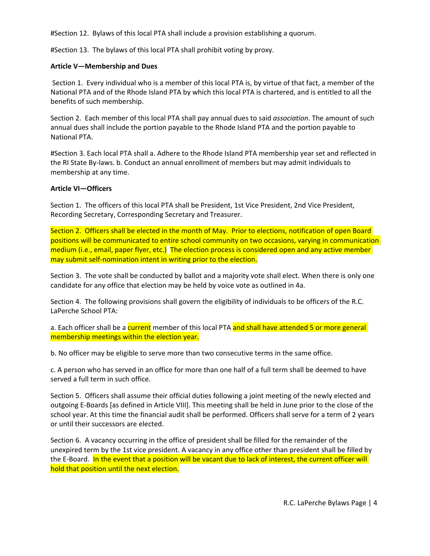#Section 12. Bylaws of this local PTA shall include a provision establishing a quorum.

#Section 13. The bylaws of this local PTA shall prohibit voting by proxy.

### **Article V—Membership and Dues**

 Section 1. Every individual who is a member of this local PTA is, by virtue of that fact, a member of the National PTA and of the Rhode Island PTA by which this local PTA is chartered, and is entitled to all the benefits of such membership.

Section 2. Each member of this local PTA shall pay annual dues to said *association*. The amount of such annual dues shall include the portion payable to the Rhode Island PTA and the portion payable to National PTA.

#Section 3. Each local PTA shall a. Adhere to the Rhode Island PTA membership year set and reflected in the RI State By-laws. b. Conduct an annual enrollment of members but may admit individuals to membership at any time.

### **Article VI—Officers**

Section 1. The officers of this local PTA shall be President, 1st Vice President, 2nd Vice President, Recording Secretary, Corresponding Secretary and Treasurer.

Section 2. Officers shall be elected in the month of May. Prior to elections, notification of open Board positions will be communicated to entire school community on two occasions, varying in communication medium (i.e., email, paper flyer, etc.) The election process is considered open and any active member may submit self-nomination intent in writing prior to the election.

Section 3. The vote shall be conducted by ballot and a majority vote shall elect. When there is only one candidate for any office that election may be held by voice vote as outlined in 4a.

Section 4. The following provisions shall govern the eligibility of individuals to be officers of the R.C. LaPerche School PTA:

a. Each officer shall be a current member of this local PTA and shall have attended 5 or more general membership meetings within the election year.

b. No officer may be eligible to serve more than two consecutive terms in the same office.

c. A person who has served in an office for more than one half of a full term shall be deemed to have served a full term in such office.

Section 5. Officers shall assume their official duties following a joint meeting of the newly elected and outgoing E-Boards [as defined in Article VIII]. This meeting shall be held in June prior to the close of the school year. At this time the financial audit shall be performed. Officers shall serve for a term of 2 years or until their successors are elected.

Section 6. A vacancy occurring in the office of president shall be filled for the remainder of the unexpired term by the 1st vice president. A vacancy in any office other than president shall be filled by the E-Board. In the event that a position will be vacant due to lack of interest, the current officer will hold that position until the next election.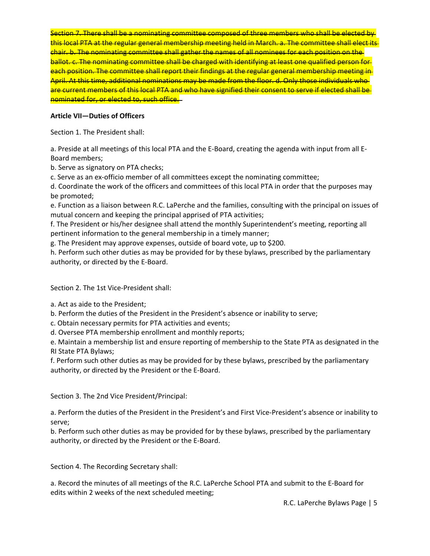Section 7. There shall be a nominating committee composed of three members who shall be elected by this local PTA at the regular general membership meeting held in March. a. The committee shall elect its chair. b. The nominating committee shall gather the names of all nominees for each position on the ballot. c. The nominating committee shall be charged with identifying at least one qualified person for each position. The committee shall report their findings at the regular general membership meeting in-April. At this time, additional nominations may be made from the floor. d. Only those individuals who are current members of this local PTA and who have signified their consent to serve if elected shall be nominated for, or elected to, such office.

# **Article VII—Duties of Officers**

Section 1. The President shall:

a. Preside at all meetings of this local PTA and the E-Board, creating the agenda with input from all E-Board members;

b. Serve as signatory on PTA checks;

c. Serve as an ex-officio member of all committees except the nominating committee;

d. Coordinate the work of the officers and committees of this local PTA in order that the purposes may be promoted;

e. Function as a liaison between R.C. LaPerche and the families, consulting with the principal on issues of mutual concern and keeping the principal apprised of PTA activities;

f. The President or his/her designee shall attend the monthly Superintendent's meeting, reporting all pertinent information to the general membership in a timely manner;

g. The President may approve expenses, outside of board vote, up to \$200.

h. Perform such other duties as may be provided for by these bylaws, prescribed by the parliamentary authority, or directed by the E-Board.

Section 2. The 1st Vice-President shall:

a. Act as aide to the President;

b. Perform the duties of the President in the President's absence or inability to serve;

c. Obtain necessary permits for PTA activities and events;

d. Oversee PTA membership enrollment and monthly reports;

e. Maintain a membership list and ensure reporting of membership to the State PTA as designated in the RI State PTA Bylaws;

f. Perform such other duties as may be provided for by these bylaws, prescribed by the parliamentary authority, or directed by the President or the E-Board.

Section 3. The 2nd Vice President/Principal:

a. Perform the duties of the President in the President's and First Vice-President's absence or inability to serve;

b. Perform such other duties as may be provided for by these bylaws, prescribed by the parliamentary authority, or directed by the President or the E-Board.

Section 4. The Recording Secretary shall:

a. Record the minutes of all meetings of the R.C. LaPerche School PTA and submit to the E-Board for edits within 2 weeks of the next scheduled meeting;

R.C. LaPerche Bylaws Page | 5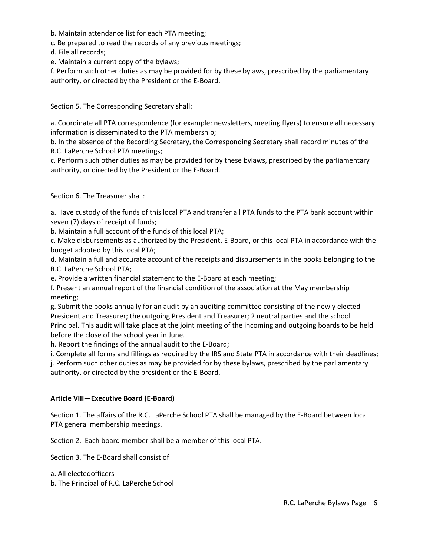b. Maintain attendance list for each PTA meeting;

c. Be prepared to read the records of any previous meetings;

d. File all records;

e. Maintain a current copy of the bylaws;

f. Perform such other duties as may be provided for by these bylaws, prescribed by the parliamentary authority, or directed by the President or the E-Board.

Section 5. The Corresponding Secretary shall:

a. Coordinate all PTA correspondence (for example: newsletters, meeting flyers) to ensure all necessary information is disseminated to the PTA membership;

b. In the absence of the Recording Secretary, the Corresponding Secretary shall record minutes of the R.C. LaPerche School PTA meetings;

c. Perform such other duties as may be provided for by these bylaws, prescribed by the parliamentary authority, or directed by the President or the E-Board.

Section 6. The Treasurer shall:

a. Have custody of the funds of this local PTA and transfer all PTA funds to the PTA bank account within seven (7) days of receipt of funds;

b. Maintain a full account of the funds of this local PTA;

c. Make disbursements as authorized by the President, E-Board, or this local PTA in accordance with the budget adopted by this local PTA;

d. Maintain a full and accurate account of the receipts and disbursements in the books belonging to the R.C. LaPerche School PTA;

e. Provide a written financial statement to the E-Board at each meeting;

f. Present an annual report of the financial condition of the association at the May membership meeting;

g. Submit the books annually for an audit by an auditing committee consisting of the newly elected President and Treasurer; the outgoing President and Treasurer; 2 neutral parties and the school Principal. This audit will take place at the joint meeting of the incoming and outgoing boards to be held before the close of the school year in June.

h. Report the findings of the annual audit to the E-Board;

i. Complete all forms and fillings as required by the IRS and State PTA in accordance with their deadlines;

j. Perform such other duties as may be provided for by these bylaws, prescribed by the parliamentary authority, or directed by the president or the E-Board.

# **Article VIII—Executive Board (E-Board)**

Section 1. The affairs of the R.C. LaPerche School PTA shall be managed by the E-Board between local PTA general membership meetings.

Section 2. Each board member shall be a member of this local PTA.

Section 3. The E-Board shall consist of

a. All electedofficers

b. The Principal of R.C. LaPerche School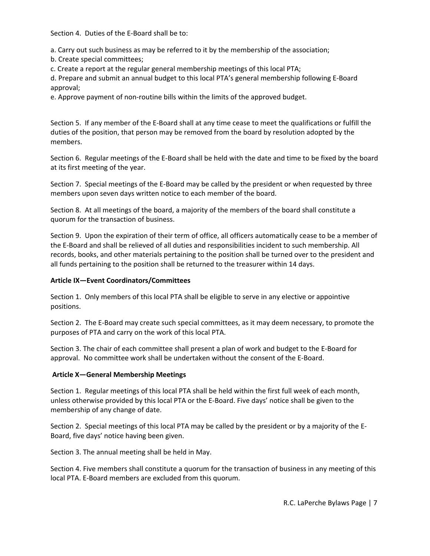Section 4. Duties of the E-Board shall be to:

a. Carry out such business as may be referred to it by the membership of the association;

b. Create special committees;

c. Create a report at the regular general membership meetings of this local PTA;

d. Prepare and submit an annual budget to this local PTA's general membership following E-Board approval;

e. Approve payment of non-routine bills within the limits of the approved budget.

Section 5. If any member of the E-Board shall at any time cease to meet the qualifications or fulfill the duties of the position, that person may be removed from the board by resolution adopted by the members.

Section 6. Regular meetings of the E-Board shall be held with the date and time to be fixed by the board at its first meeting of the year.

Section 7. Special meetings of the E-Board may be called by the president or when requested by three members upon seven days written notice to each member of the board.

Section 8. At all meetings of the board, a majority of the members of the board shall constitute a quorum for the transaction of business.

Section 9. Upon the expiration of their term of office, all officers automatically cease to be a member of the E-Board and shall be relieved of all duties and responsibilities incident to such membership. All records, books, and other materials pertaining to the position shall be turned over to the president and all funds pertaining to the position shall be returned to the treasurer within 14 days.

### **Article IX—Event Coordinators/Committees**

Section 1. Only members of this local PTA shall be eligible to serve in any elective or appointive positions.

Section 2. The E-Board may create such special committees, as it may deem necessary, to promote the purposes of PTA and carry on the work of this local PTA.

Section 3. The chair of each committee shall present a plan of work and budget to the E-Board for approval. No committee work shall be undertaken without the consent of the E-Board.

### **Article X—General Membership Meetings**

Section 1. Regular meetings of this local PTA shall be held within the first full week of each month, unless otherwise provided by this local PTA or the E-Board. Five days' notice shall be given to the membership of any change of date.

Section 2. Special meetings of this local PTA may be called by the president or by a majority of the E-Board, five days' notice having been given.

Section 3. The annual meeting shall be held in May.

Section 4. Five members shall constitute a quorum for the transaction of business in any meeting of this local PTA. E-Board members are excluded from this quorum.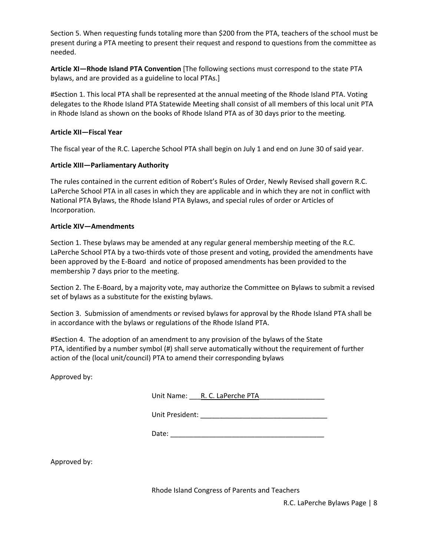Section 5. When requesting funds totaling more than \$200 from the PTA, teachers of the school must be present during a PTA meeting to present their request and respond to questions from the committee as needed.

**Article XI—Rhode Island PTA Convention** [The following sections must correspond to the state PTA bylaws, and are provided as a guideline to local PTAs.]

#Section 1. This local PTA shall be represented at the annual meeting of the Rhode Island PTA. Voting delegates to the Rhode Island PTA Statewide Meeting shall consist of all members of this local unit PTA in Rhode Island as shown on the books of Rhode Island PTA as of 30 days prior to the meeting*.*

### **Article XII—Fiscal Year**

The fiscal year of the R.C. Laperche School PTA shall begin on July 1 and end on June 30 of said year.

#### **Article XIII—Parliamentary Authority**

The rules contained in the current edition of Robert's Rules of Order, Newly Revised shall govern R.C. LaPerche School PTA in all cases in which they are applicable and in which they are not in conflict with National PTA Bylaws, the Rhode Island PTA Bylaws, and special rules of order or Articles of Incorporation.

#### **Article XIV—Amendments**

Section 1. These bylaws may be amended at any regular general membership meeting of the R.C. LaPerche School PTA by a two-thirds vote of those present and voting, provided the amendments have been approved by the E-Board and notice of proposed amendments has been provided to the membership 7 days prior to the meeting.

Section 2. The E-Board, by a majority vote, may authorize the Committee on Bylaws to submit a revised set of bylaws as a substitute for the existing bylaws.

Section 3. Submission of amendments or revised bylaws for approval by the Rhode Island PTA shall be in accordance with the bylaws or regulations of the Rhode Island PTA.

#Section 4. The adoption of an amendment to any provision of the bylaws of the State PTA, identified by a number symbol (#) shall serve automatically without the requirement of further action of the (local unit/council) PTA to amend their corresponding bylaws

Approved by:

| Unit President: |  |
|-----------------|--|
|-----------------|--|

Date: \_\_\_\_\_\_\_\_\_\_\_\_\_\_\_\_\_\_\_\_\_\_\_\_\_\_\_\_\_\_\_\_\_\_\_\_\_\_\_\_

Approved by:

Rhode Island Congress of Parents and Teachers

R.C. LaPerche Bylaws Page | 8